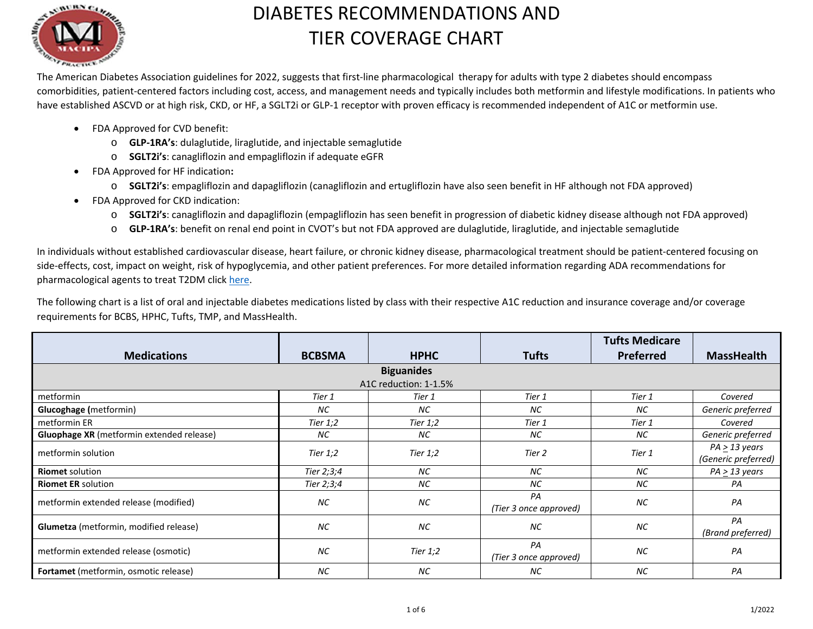

The American Diabetes Association guidelines for 2022, suggests that first-line pharmacological therapy for adults with type 2 diabetes should encompass comorbidities, patient‐centered factors including cost, access, and management needs and typically includes both metformin and lifestyle modifications. In patients who have established ASCVD or at high risk, CKD, or HF, a SGLT2i or GLP-1 receptor with proven efficacy is recommended independent of A1C or metformin use.

- FDA Approved for CVD benefit:
	- o **GLP‐1RA's**: dulaglutide, liraglutide, and injectable semaglutide
	- o **SGLT2i's**: canagliflozin and empagliflozin if adequate eGFR
- FDA Approved for HF indication**:**
	- o **SGLT2i's**: empagliflozin and dapagliflozin (canagliflozin and ertugliflozin have also seen benefit in HF although not FDA approved)
- FDA Approved for CKD indication:
	- o **SGLT2i's**: canagliflozin and dapagliflozin (empagliflozin has seen benefit in progression of diabetic kidney disease although not FDA approved)
	- o **GLP‐1RA's**: benefit on renal end point in CVOT's but not FDA approved are dulaglutide, liraglutide, and injectable semaglutide

In individuals without established cardiovascular disease, heart failure, or chronic kidney disease, pharmacological treatment should be patient-centered focusing on side-effects, cost, impact on weight, risk of hypoglycemia, and other patient preferences. For more detailed information regarding ADA recommendations for pharmacological agents to treat T2DM click here.

The following chart is a list of oral and injectable diabetes medications listed by class with their respective A1C reduction and insurance coverage and/or coverage requirements for BCBS, HPHC, Tufts, TMP, and MassHealth.

|                                                  |               |                       |                              | <b>Tufts Medicare</b> |                                           |
|--------------------------------------------------|---------------|-----------------------|------------------------------|-----------------------|-------------------------------------------|
| <b>Medications</b>                               | <b>BCBSMA</b> | <b>HPHC</b>           | <b>Tufts</b>                 | <b>Preferred</b>      | <b>MassHealth</b>                         |
|                                                  |               | <b>Biguanides</b>     |                              |                       |                                           |
|                                                  |               | A1C reduction: 1-1.5% |                              |                       |                                           |
| metformin                                        | Tier 1        | Tier 1                | Tier 1                       | Tier 1                | Covered                                   |
| <b>Glucoghage</b> (metformin)                    | NC.           | <b>NC</b>             | NC.                          | <b>NC</b>             | Generic preferred                         |
| metformin ER                                     | Tier 1;2      | Tier $1,2$            | Tier 1                       | Tier 1                | Covered                                   |
| <b>Gluophage XR</b> (metformin extended release) | NC.           | NC.                   | NC.                          | ΝC                    | Generic preferred                         |
| metformin solution                               | Tier $1,2$    | Tier $1,2$            | Tier 2                       | Tier 1                | $PA \geq 13$ years<br>(Generic preferred) |
| <b>Riomet solution</b>                           | Tier 2;3;4    | <b>NC</b>             | NC.                          | NC.                   | $PA \geq 13$ years                        |
| <b>Riomet ER solution</b>                        | Tier 2;3;4    | NC.                   | <b>NC</b>                    | <b>NC</b>             | PA                                        |
| metformin extended release (modified)            | <b>NC</b>     | <b>NC</b>             | PA<br>(Tier 3 once approved) | <b>NC</b>             | PA                                        |
| Glumetza (metformin, modified release)           | <b>NC</b>     | <b>NC</b>             | <b>NC</b>                    | <b>NC</b>             | PA<br>(Brand preferred)                   |
| metformin extended release (osmotic)             | <b>NC</b>     | Tier $1,2$            | PA<br>(Tier 3 once approved) | <b>NC</b>             | PA                                        |
| <b>Fortamet</b> (metformin, osmotic release)     | <b>NC</b>     | <b>NC</b>             | NC.                          | <b>NC</b>             | PA                                        |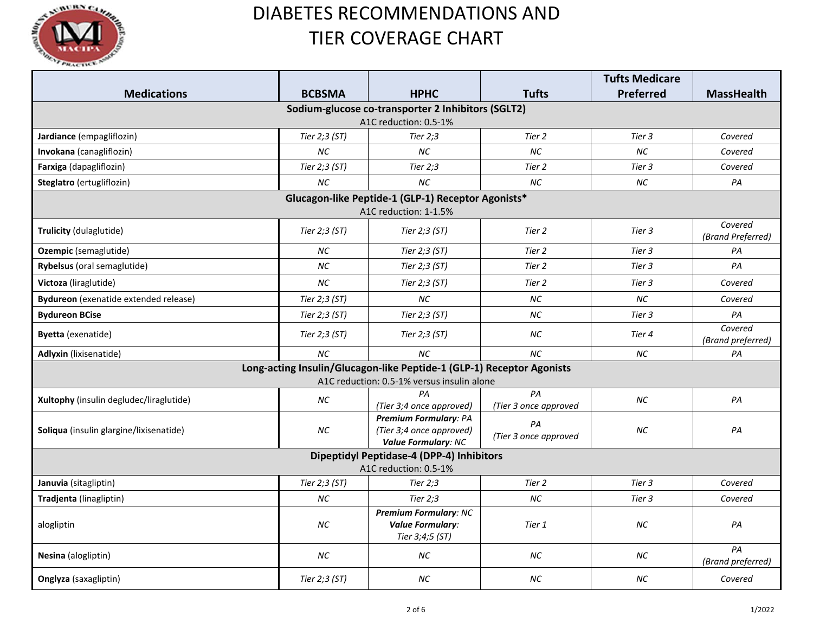

|                                                                       |               |                                                                                        |                             | <b>Tufts Medicare</b> |                              |  |
|-----------------------------------------------------------------------|---------------|----------------------------------------------------------------------------------------|-----------------------------|-----------------------|------------------------------|--|
| <b>Medications</b>                                                    | <b>BCBSMA</b> | <b>HPHC</b>                                                                            | <b>Tufts</b>                | Preferred             | <b>MassHealth</b>            |  |
|                                                                       |               | Sodium-glucose co-transporter 2 Inhibitors (SGLT2)                                     |                             |                       |                              |  |
|                                                                       |               | A1C reduction: 0.5-1%                                                                  |                             |                       |                              |  |
| Jardiance (empagliflozin)                                             | Tier 2;3 (ST) | Tier $2:3$                                                                             | Tier 2                      | Tier 3                | Covered                      |  |
| Invokana (canagliflozin)                                              | <b>NC</b>     | <b>NC</b>                                                                              | <b>NC</b>                   | <b>NC</b>             | Covered                      |  |
| Farxiga (dapagliflozin)                                               | Tier 2;3 (ST) | Tier $2;3$                                                                             | Tier 2                      | Tier 3                | Covered                      |  |
| Steglatro (ertugliflozin)                                             | <b>NC</b>     | <b>NC</b>                                                                              | <b>NC</b>                   | $NC$                  | PA                           |  |
|                                                                       |               | Glucagon-like Peptide-1 (GLP-1) Receptor Agonists*<br>A1C reduction: 1-1.5%            |                             |                       |                              |  |
|                                                                       |               |                                                                                        |                             |                       | Covered                      |  |
| Trulicity (dulaglutide)                                               | Tier 2;3 (ST) | Tier 2;3 (ST)                                                                          | Tier 2                      | Tier 3                | (Brand Preferred)            |  |
| Ozempic (semaglutide)                                                 | <b>NC</b>     | Tier 2;3 (ST)                                                                          | Tier 2                      | Tier 3                | PA                           |  |
| Rybelsus (oral semaglutide)                                           | NC            | Tier 2;3 (ST)                                                                          | Tier 2                      | Tier 3                | PA                           |  |
| Victoza (liraglutide)                                                 | <b>NC</b>     | Tier 2;3 (ST)                                                                          | Tier 2                      | Tier 3                | Covered                      |  |
| Bydureon (exenatide extended release)                                 | Tier 2;3 (ST) | <b>NC</b>                                                                              | <b>NC</b>                   | <b>NC</b>             | Covered                      |  |
| <b>Bydureon BCise</b>                                                 | Tier 2;3 (ST) | Tier 2;3 (ST)                                                                          | <b>NC</b>                   | Tier 3                | PA                           |  |
| <b>Byetta</b> (exenatide)                                             | Tier 2;3 (ST) | Tier 2;3 (ST)                                                                          | NC                          | Tier 4                | Covered<br>(Brand preferred) |  |
| <b>Adlyxin</b> (lixisenatide)                                         | <b>NC</b>     | <b>NC</b>                                                                              | <b>NC</b>                   | <b>NC</b>             | PA                           |  |
| Long-acting Insulin/Glucagon-like Peptide-1 (GLP-1) Receptor Agonists |               |                                                                                        |                             |                       |                              |  |
| A1C reduction: 0.5-1% versus insulin alone                            |               |                                                                                        |                             |                       |                              |  |
| Xultophy (insulin degludec/liraglutide)                               | $NC$          | PA<br>(Tier 3;4 once approved)                                                         | PA<br>(Tier 3 once approved | <b>NC</b>             | PA                           |  |
| Soliqua (insulin glargine/lixisenatide)                               | <b>NC</b>     | <b>Premium Formulary: PA</b><br>(Tier 3;4 once approved)<br><b>Value Formulary: NC</b> | PA<br>(Tier 3 once approved | <b>NC</b>             | PA                           |  |
| Dipeptidyl Peptidase-4 (DPP-4) Inhibitors                             |               |                                                                                        |                             |                       |                              |  |
| A1C reduction: 0.5-1%                                                 |               |                                                                                        |                             |                       |                              |  |
| Januvia (sitagliptin)                                                 | Tier 2;3 (ST) | Tier $2:3$                                                                             | Tier 2                      | Tier 3                | Covered                      |  |
| Tradjenta (linagliptin)                                               | <b>NC</b>     | Tier $2:3$                                                                             | ΝC                          | Tier 3                | Covered                      |  |
| alogliptin                                                            | <b>NC</b>     | <b>Premium Formulary: NC</b><br><b>Value Formulary:</b><br>Tier 3;4;5 (ST)             | Tier 1                      | ΝC                    | PA                           |  |
| Nesina (alogliptin)                                                   | NC            | <b>NC</b>                                                                              | ΝC                          | ΝC                    | PA<br>(Brand preferred)      |  |
| Onglyza (saxagliptin)                                                 | Tier 2;3 (ST) | NC                                                                                     | NC                          | NС                    | Covered                      |  |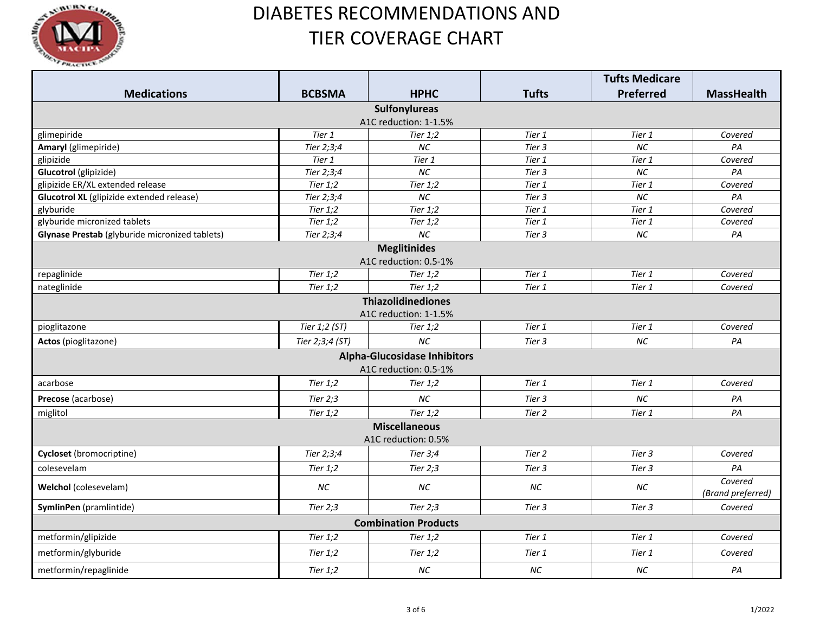

|                                                  |                 |                                     |              | <b>Tufts Medicare</b> |                              |  |
|--------------------------------------------------|-----------------|-------------------------------------|--------------|-----------------------|------------------------------|--|
| <b>Medications</b>                               | <b>BCBSMA</b>   | <b>HPHC</b>                         | <b>Tufts</b> | <b>Preferred</b>      | <b>MassHealth</b>            |  |
| <b>Sulfonylureas</b>                             |                 |                                     |              |                       |                              |  |
|                                                  |                 | A1C reduction: 1-1.5%               |              |                       |                              |  |
| glimepiride                                      | Tier 1          | Tier $1,2$                          | Tier 1       | Tier 1                | Covered                      |  |
| Amaryl (glimepiride)                             | Tier 2;3;4      | <b>NC</b>                           | Tier 3       | <b>NC</b>             | PA                           |  |
| glipizide                                        | Tier 1          | Tier 1                              | Tier 1       | Tier 1                | Covered                      |  |
| Glucotrol (glipizide)                            | Tier 2;3;4      | <b>NC</b>                           | Tier 3       | <b>NC</b>             | PA                           |  |
| glipizide ER/XL extended release                 | Tier $1,2$      | Tier $1,2$                          | Tier 1       | Tier 1                | Covered                      |  |
| <b>Glucotrol XL</b> (glipizide extended release) | Tier 2;3;4      | <b>NC</b>                           | Tier 3       | <b>NC</b>             | PA                           |  |
| glyburide                                        | Tier $1,2$      | Tier $1:2$                          | Tier 1       | Tier 1                | Covered                      |  |
| glyburide micronized tablets                     | Tier $1,2$      | Tier $1,2$                          | Tier 1       | Tier 1                | Covered                      |  |
| Glynase Prestab (glyburide micronized tablets)   | Tier 2;3;4      | <b>NC</b>                           | Tier 3       | <b>NC</b>             | PA                           |  |
|                                                  |                 | <b>Meglitinides</b>                 |              |                       |                              |  |
| A1C reduction: 0.5-1%                            |                 |                                     |              |                       |                              |  |
| repaglinide                                      | Tier $1,2$      | Tier $1,2$                          | Tier 1       | Tier 1                | Covered                      |  |
| nateglinide                                      | Tier $1,2$      | Tier $1,2$                          | Tier 1       | Tier 1                | Covered                      |  |
|                                                  |                 | <b>Thiazolidinediones</b>           |              |                       |                              |  |
|                                                  |                 | A1C reduction: 1-1.5%               |              |                       |                              |  |
| pioglitazone                                     | Tier 1;2 (ST)   | Tier $1,2$                          | Tier 1       | Tier 1                | Covered                      |  |
| Actos (pioglitazone)                             | Tier 2;3;4 (ST) | <b>NC</b>                           | Tier 3       | <b>NC</b>             | PA                           |  |
|                                                  |                 | <b>Alpha-Glucosidase Inhibitors</b> |              |                       |                              |  |
|                                                  |                 | A1C reduction: 0.5-1%               |              |                       |                              |  |
| acarbose                                         | Tier $1:2$      | Tier $1:2$                          | Tier 1       | Tier 1                | Covered                      |  |
| Precose (acarbose)                               | Tier $2;3$      | <b>NC</b>                           | Tier 3       | <b>NC</b>             | PA                           |  |
| miglitol                                         | Tier $1,2$      | Tier $1,2$                          | Tier 2       | Tier 1                | PA                           |  |
| <b>Miscellaneous</b>                             |                 |                                     |              |                       |                              |  |
| A1C reduction: 0.5%                              |                 |                                     |              |                       |                              |  |
| Cycloset (bromocriptine)                         | Tier 2;3;4      | Tier 3;4                            | Tier 2       | Tier 3                | Covered                      |  |
| colesevelam                                      | Tier $1,2$      | Tier $2:3$                          | Tier 3       | Tier 3                | PA                           |  |
| Welchol (colesevelam)                            | ΝC              | ΝC                                  | NC           | NC                    | Covered<br>(Brand preferred) |  |
| SymlinPen (pramlintide)                          | Tier $2;3$      | Tier $2:3$                          | Tier 3       | Tier 3                | Covered                      |  |
| <b>Combination Products</b>                      |                 |                                     |              |                       |                              |  |
| metformin/glipizide                              | Tier $1,2$      | Tier $1,2$                          | Tier 1       | Tier 1                | Covered                      |  |
| metformin/glyburide                              | Tier $1,2$      | Tier $1,2$                          | Tier 1       | Tier 1                | Covered                      |  |
| metformin/repaglinide                            | Tier $1,2$      | <b>NC</b>                           | <b>NC</b>    | <b>NC</b>             | PA                           |  |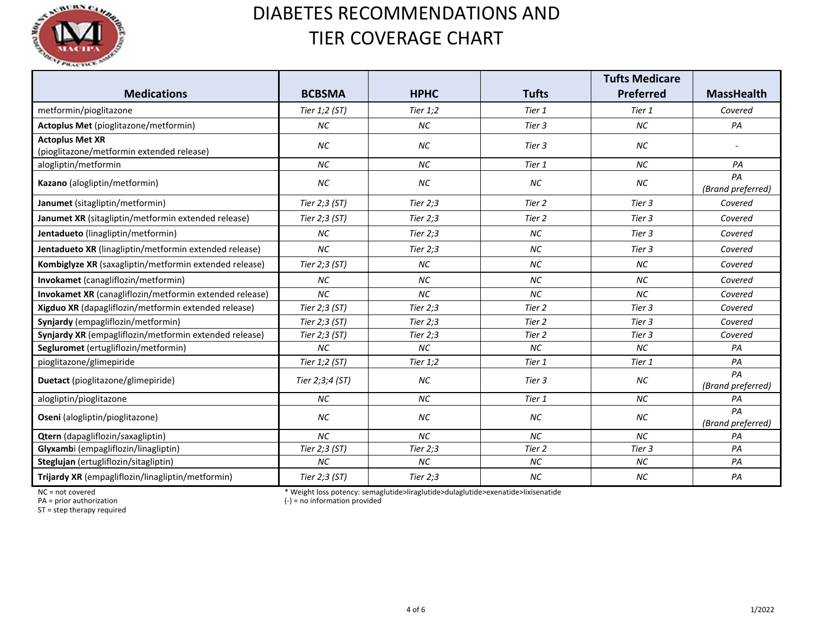

| <b>Medications</b>                                                  | <b>BCBSMA</b>   | <b>HPHC</b> | <b>Tufts</b> | <b>Tufts Medicare</b><br><b>Preferred</b> | <b>MassHealth</b>       |
|---------------------------------------------------------------------|-----------------|-------------|--------------|-------------------------------------------|-------------------------|
| metformin/pioglitazone                                              | Tier 1;2 (ST)   | Tier $1:2$  | Tier 1       | Tier 1                                    | Covered                 |
|                                                                     |                 |             |              |                                           |                         |
| Actoplus Met (pioglitazone/metformin)                               | <b>NC</b>       | NC          | Tier 3       | <b>NC</b>                                 | PA                      |
| <b>Actoplus Met XR</b><br>(pioglitazone/metformin extended release) | NC.             | NC          | Tier 3       | <b>NC</b>                                 |                         |
| alogliptin/metformin                                                | NC              | <b>NC</b>   | Tier 1       | <b>NC</b>                                 | PA                      |
| Kazano (alogliptin/metformin)                                       | NC              | NC          | ΝC           | NC                                        | PA<br>(Brand preferred) |
| Janumet (sitagliptin/metformin)                                     | Tier 2;3 (ST)   | Tier $2;3$  | Tier 2       | Tier 3                                    | Covered                 |
| Janumet XR (sitagliptin/metformin extended release)                 | Tier 2;3 (ST)   | Tier $2:3$  | Tier 2       | Tier 3                                    | Covered                 |
| Jentadueto (linagliptin/metformin)                                  | <b>NC</b>       | Tier $2:3$  | <b>NC</b>    | Tier 3                                    | Covered                 |
| Jentadueto XR (linagliptin/metformin extended release)              | <b>NC</b>       | Tier $2;3$  | <b>NC</b>    | Tier 3                                    | Covered                 |
| Kombiglyze XR (saxagliptin/metformin extended release)              | Tier 2;3 (ST)   | NC          | NC           | <b>NC</b>                                 | Covered                 |
| Invokamet (canagliflozin/metformin)                                 | NC              | <b>NC</b>   | <b>NC</b>    | <b>NC</b>                                 | Covered                 |
| Invokamet XR (canagliflozin/metformin extended release)             | NC              | <b>NC</b>   | <b>NC</b>    | <b>NC</b>                                 | Covered                 |
| Xigduo XR (dapagliflozin/metformin extended release)                | Tier 2;3 (ST)   | Tier $2:3$  | Tier 2       | Tier 3                                    | Covered                 |
| Synjardy (empagliflozin/metformin)                                  | Tier 2;3 (ST)   | Tier $2;3$  | Tier 2       | Tier 3                                    | Covered                 |
| Synjardy XR (empagliflozin/metformin extended release)              | Tier 2;3 (ST)   | Tier $2:3$  | Tier 2       | Tier 3                                    | Covered                 |
| Segluromet (ertugliflozin/metformin)                                | NC              | NC          | <b>NC</b>    | <b>NC</b>                                 | PA                      |
| pioglitazone/glimepiride                                            | Tier 1;2 (ST)   | Tier $1:2$  | Tier 1       | Tier 1                                    | PA                      |
| Duetact (pioglitazone/glimepiride)                                  | Tier 2;3;4 (ST) | NC          | Tier 3       | <b>NC</b>                                 | PA<br>(Brand preferred) |
| alogliptin/pioglitazone                                             | <b>NC</b>       | <b>NC</b>   | Tier 1       | <b>NC</b>                                 | PA                      |
| Oseni (alogliptin/pioglitazone)                                     | <b>NC</b>       | NC          | NC           | <b>NC</b>                                 | PA<br>(Brand preferred) |
| Qtern (dapagliflozin/saxagliptin)                                   | <b>NC</b>       | <b>NC</b>   | <b>NC</b>    | <b>NC</b>                                 | PA                      |
| Glyxambi (empagliflozin/linagliptin)                                | Tier 2;3 (ST)   | Tier $2;3$  | Tier 2       | Tier 3                                    | PA                      |
| Steglujan (ertugliflozin/sitagliptin)                               | <b>NC</b>       | <b>NC</b>   | <b>NC</b>    | <b>NC</b>                                 | PA                      |
| Trijardy XR (empagliflozin/linagliptin/metformin)                   | Tier 2;3 (ST)   | Tier $2;3$  | <b>NC</b>    | <b>NC</b>                                 | PA                      |

NC = not covered

NC = not covered<br>
PA = prior authorization<br>
PA = prior authorization<br>
PA = prior authorization<br>
PA = prior authorization

 $(-)$  = no information provided

ST = step therapy required